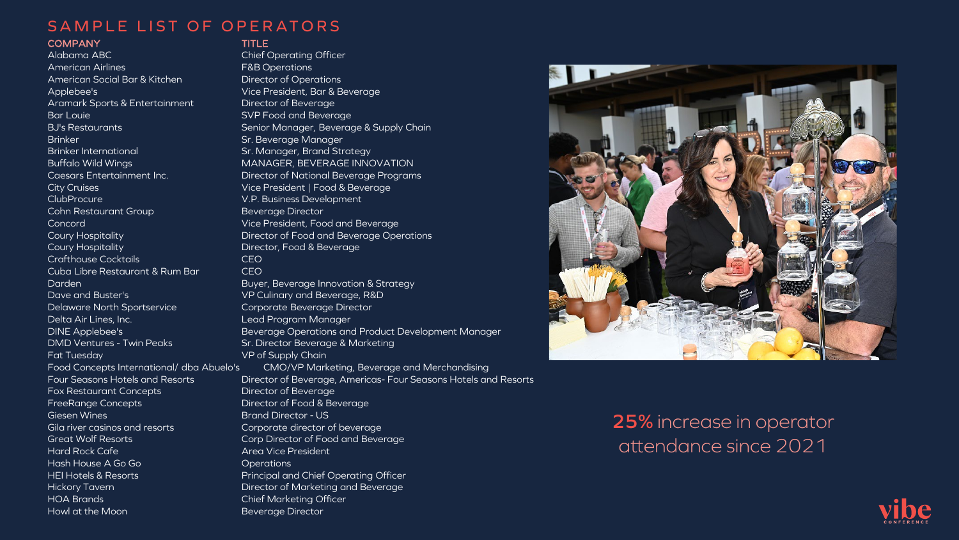# SAMPLE LIST OF OPERATORS

### COMPANY TITLE

**As our sponsor, you will be fully**  Aramark Sports & Entertainment Director of Beverage **integrated into the event program as**  Bar Louie SVP Food and Beverage **you are instrumental to the success of the success of the success of the success of the success of the success**<br>Brinker Sr. Beverage Manager<br>The success of the success of the success of the success of the success of the s Brinker International<br>Buffalo Wild Wings<br>Caesars Entertainment Inc Alabama ABC Chief Operating Officer American Airlines F&B Operations American Social Bar & Kitchen Director of Operations Applebee's Vice President, Bar & Beverage City Cruises Vice President | Food & Beverage ClubProcure V.P. Business Development Cohn Restaurant Group Beverage Director Concord Vice President, Food and Beverage Coury Hospitality **Course Course Except** Director, Food & Beverage Crafthouse Cocktails CEO Cuba Libre Restaurant & Rum Bar CEO Darden Buyer, Beverage Innovation & Strategy Dave and Buster's VP Culinary and Beverage, R&D Delaware North Sportservice Corporate Beverage Director Delta Air Lines, Inc. **Lead Program Manager** DMD Ventures - Twin Peaks Sr. Director Beverage & Marketing Fat Tuesday The Communication of Supply Chain Fox Restaurant Concepts **Director of Beverage** FreeRange Concepts **Director of Food & Beverage** Giesen Wines Brand Director - US Gila river casinos and resorts Corporate director of beverage Great Wolf Resorts Corp Director of Food and Beverage **Hard Rock Cafe Area Vice President** Hash House A Go Go **Community** Contractions HEI Hotels & Resorts Principal and Chief Operating Officer Hickory Tavern Director of Marketing and Beverage HOA Brands Chief Marketing Officer Howl at the Moon Beverage Director

BJ's Restaurants Senior Manager, Beverage & Supply Chain Sr. Manager, Brand Strategy MANAGER, BEVERAGE INNOVATION Director of National Beverage Programs Coury Hospitality Director of Food and Beverage Operations DINE Applebee's Beverage Operations and Product Development Manager Food Concepts International/ dba Abuelo's CMO/VP Marketing, Beverage and Merchandising Four Seasons Hotels and Resorts Director of Beverage, Americas- Four Seasons Hotels and Resorts



# **25%** increase in operator attendance since 2021

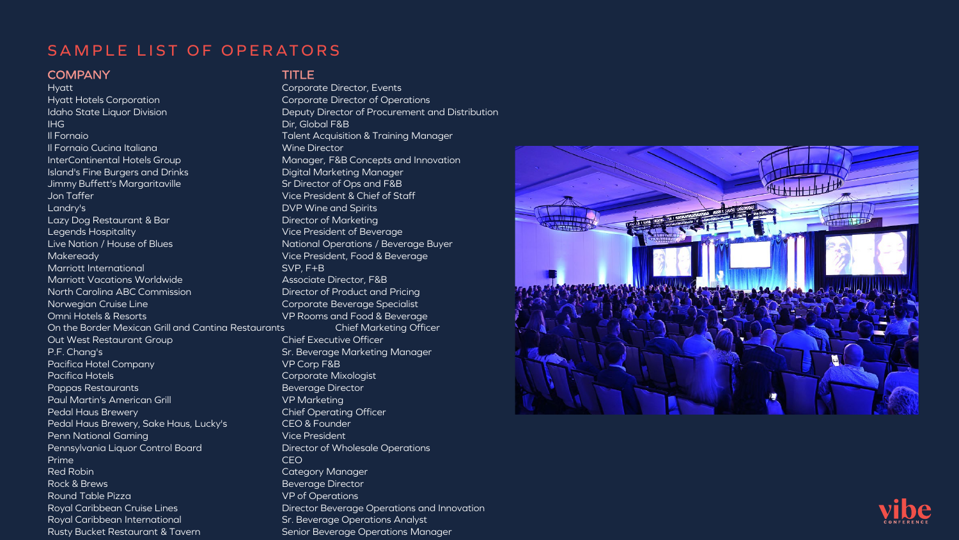# SAMPLE LIST OF OPERATORS

### COMPANY TITLE

**A**<br>Hyatt Hotels Corporation **idaho State Liquor Division<br>IHG you are instrumental to the success**  Il Fornaio Talent Acquisition & Training Manager **InterContinental Hotels Group** Il Fornaio Cucina Italiana November 2014 - Mine Director Island's Fine Burgers and Drinks Digital Marketing Manager Jimmy Buffett's Margaritaville State State State Sr Director of Ops and F&B Jon Taffer Vice President & Chief of Staff Landry's DVP Wine and Spirits Lazy Dog Restaurant & Bar Director of Marketing Legends Hospitality Vice President of Beverage Live Nation / House of Blues National Operations / Beverage Buyer Makeready Vice President, Food & Beverage Marriott International and SVP, F+B Marriott Vacations Worldwide **Associate Director, F&B** North Carolina ABC Commission Director of Product and Pricing Norwegian Cruise Line Corporate Beverage Specialist Omni Hotels & Resorts VP Rooms and Food & Beverage On the Border Mexican Grill and Cantina Restaurants Chief Marketing Officer Out West Restaurant Group Chief Executive Officer P.F. Chang's **Sr. Beverage Marketing Manager** Sr. Beverage Marketing Manager Pacifica Hotel Company VP Corp F&B Pacifica Hotels **Corporate Mixologist** Pappas Restaurants Beverage Director Paul Martin's American Grill VP Marketing Pedal Haus Brewery **Chief Operating Officer** Chief Operating Officer Pedal Haus Brewery, Sake Haus, Lucky's CEO & Founder Penn National Gaming Vice President Pennsylvania Liquor Control Board Director of Wholesale Operations Prime **CEO** Red Robin **Category Manager** Rock & Brews Beverage Director Round Table Pizza **VP** of Operations Royal Caribbean International Sr. Beverage Operations Analyst Rusty Bucket Restaurant & Tavern Senior Beverage Operations Manager

Corporate Director, Events Corporate Director of Operations Deputy Director of Procurement and Distribution Dir, Global F&B Manager, F&B Concepts and Innovation Royal Caribbean Cruise Lines **Director Beverage Operations and Innovation**